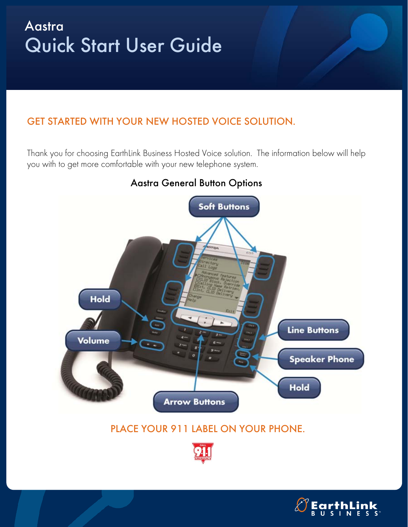# Aastra Quick Start User Guide

## GET STARTED WITH YOUR NEW HOSTED VOICE SOLUTION.

Thank you for choosing EarthLink Business Hosted Voice solution. The information below will help you with to get more comfortable with your new telephone system.



#### Aastra General Button Options

## PLACE YOUR 911 LABEL ON YOUR PHONE.



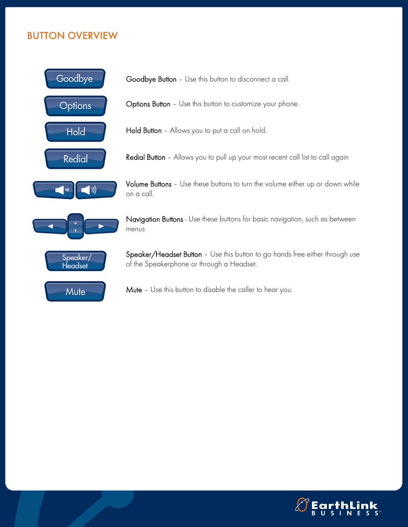## BUTTON OVERVIEW



Goodbye Button – Use this button to disconnect a call.

Options Button – Use this button to customize your phone.

Hold Button - Allows you to put a call on hold.

Redial Button - Allows you to pull up your most recent call list to call again

Volume Buttons - Use these buttons to turn the volume either up or down while on a call.

Navigation Buttons - Use these buttons for basic navigation, such as between menus

Speaker/Headset Button - Use this button to go hands free either through use of the Speakerphone or through a Headset.

Mute – Use this button to disable the caller to hear you.

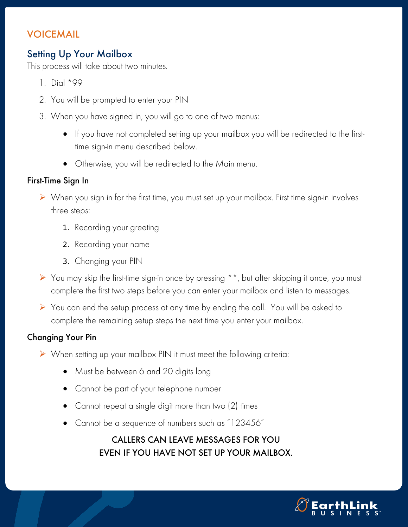## VOICEMAIL

## Setting Up Your Mailbox

This process will take about two minutes.

- 1. Dial \*99
- 2. You will be prompted to enter your PIN
- 3. When you have signed in, you will go to one of two menus:
	- If you have not completed setting up your mailbox you will be redirected to the firsttime sign-in menu described below.
	- Otherwise, you will be redirected to the Main menu.

#### First-Time Sign In

- When you sign in for the first time, you must set up your mailbox. First time sign-in involves three steps:
	- 1. Recording your greeting
	- 2. Recording your name
	- 3. Changing your PIN
- You may skip the first-time sign-in once by pressing \*\*, but after skipping it once, you must complete the first two steps before you can enter your mailbox and listen to messages.
- You can end the setup process at any time by ending the call. You will be asked to complete the remaining setup steps the next time you enter your mailbox.

#### Changing Your Pin

- When setting up your mailbox PIN it must meet the following criteria:
	- Must be between 6 and 20 digits long
	- Cannot be part of your telephone number
	- Cannot repeat a single digit more than two (2) times
	- Cannot be a sequence of numbers such as "123456"

## CALLERS CAN LEAVE MESSAGES FOR YOU EVEN IF YOU HAVE NOT SET UP YOUR MAILBOX.

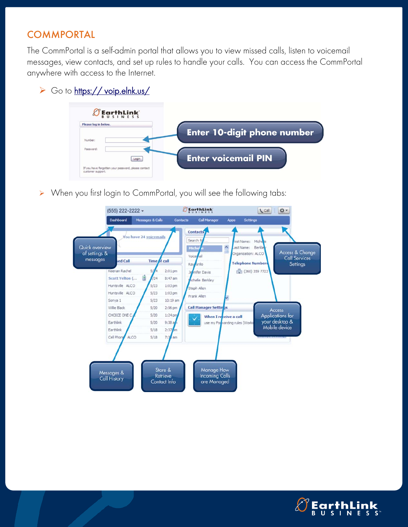## **COMMPORTAL**

The CommPortal is a self-admin portal that allows you to view missed calls, listen to voicemail messages, view contacts, and set up rules to handle your calls. You can access the CommPortal anywhere with access to the Internet.

#### ▶ Go to https:// voip.elnk.us/



> When you first login to CommPortal, you will see the following tabs: